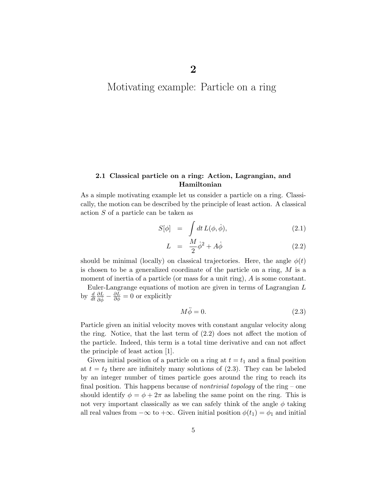# Motivating example: Particle on a ring

# 2.1 Classical particle on a ring: Action, Lagrangian, and Hamiltonian

As a simple motivating example let us consider a particle on a ring. Classically, the motion can be described by the principle of least action. A classical action S of a particle can be taken as

$$
S[\phi] = \int dt L(\phi, \dot{\phi}), \qquad (2.1)
$$

$$
L = \frac{M}{2}\dot{\phi}^2 + A\dot{\phi} \tag{2.2}
$$

should be minimal (locally) on classical trajectories. Here, the angle  $\phi(t)$ is chosen to be a generalized coordinate of the particle on a ring,  $M$  is a moment of inertia of a particle (or mass for a unit ring), A is some constant.

Euler-Langrange equations of motion are given in terms of Lagrangian L by  $\frac{d}{dt}$  $\frac{\partial L}{\partial \dot{\phi}} - \frac{\partial L}{\partial \phi} = 0$  or explicitly

$$
M\ddot{\phi} = 0.\t(2.3)
$$

Particle given an initial velocity moves with constant angular velocity along the ring. Notice, that the last term of (2.2) does not affect the motion of the particle. Indeed, this term is a total time derivative and can not affect the principle of least action [1].

Given initial position of a particle on a ring at  $t = t_1$  and a final position at  $t = t_2$  there are infinitely many solutions of  $(2.3)$ . They can be labeled by an integer number of times particle goes around the ring to reach its final position. This happens because of *nontrivial topology* of the ring – one should identify  $\phi = \phi + 2\pi$  as labeling the same point on the ring. This is not very important classically as we can safely think of the angle  $\phi$  taking all real values from  $-\infty$  to  $+\infty$ . Given initial position  $\phi(t_1) = \phi_1$  and initial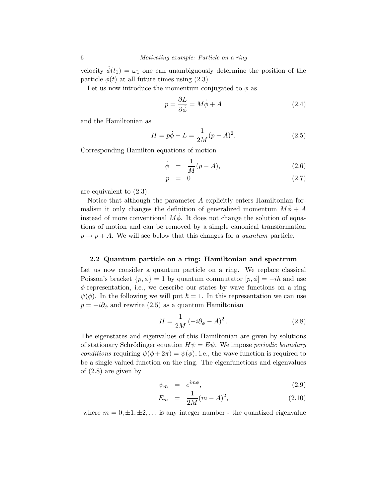velocity  $\dot{\phi}(t_1) = \omega_1$  one can unambiguously determine the position of the particle  $\phi(t)$  at all future times using (2.3).

Let us now introduce the momentum conjugated to  $\phi$  as

$$
p = \frac{\partial L}{\partial \dot{\phi}} = M\dot{\phi} + A \tag{2.4}
$$

and the Hamiltonian as

$$
H = p\dot{\phi} - L = \frac{1}{2M}(p - A)^2.
$$
 (2.5)

Corresponding Hamilton equations of motion

$$
\dot{\phi} = \frac{1}{M}(p - A), \tag{2.6}
$$

$$
\dot{p} = 0 \tag{2.7}
$$

are equivalent to (2.3).

Notice that although the parameter A explicitly enters Hamiltonian formalism it only changes the definition of generalized momentum  $M\dot{\phi} + A$ instead of more conventional  $M\dot{\phi}$ . It does not change the solution of equations of motion and can be removed by a simple canonical transformation  $p \rightarrow p + A$ . We will see below that this changes for a *quantum* particle.

# 2.2 Quantum particle on a ring: Hamiltonian and spectrum

Let us now consider a quantum particle on a ring. We replace classical Poisson's bracket  $\{p, \phi\} = 1$  by quantum commutator  $[p, \phi] = -i\hbar$  and use φ-representation, i.e., we describe our states by wave functions on a ring  $\psi(\phi)$ . In the following we will put  $\hbar = 1$ . In this representation we can use  $p = -i\partial_{\phi}$  and rewrite (2.5) as a quantum Hamiltonian

$$
H = \frac{1}{2M} \left( -i\partial_{\phi} - A \right)^2.
$$
 (2.8)

The eigenstates and eigenvalues of this Hamiltonian are given by solutions of stationary Schrödinger equation  $H\psi = E\psi$ . We impose *periodic boundary conditions* requiring  $\psi(\phi + 2\pi) = \psi(\phi)$ , i.e., the wave function is required to be a single-valued function on the ring. The eigenfunctions and eigenvalues of (2.8) are given by

$$
\psi_m = e^{im\phi},\tag{2.9}
$$

$$
E_m = \frac{1}{2M}(m - A)^2, \tag{2.10}
$$

where  $m = 0, \pm 1, \pm 2, \ldots$  is any integer number - the quantized eigenvalue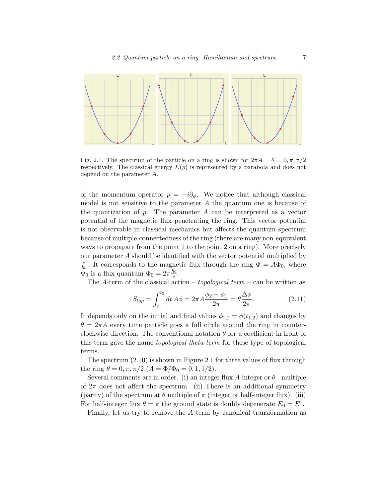

Fig. 2.1. The spectrum of the particle on a ring is shown for  $2\pi A = \theta = 0, \pi, \pi/2$ respectively. The classical energy  $E(p)$  is represented by a parabola and does not depend on the parameter A.

of the momentum operator  $p = -i\partial_{\phi}$ . We notice that although classical model is not sensitive to the parameter  $A$  the quantum one is because of the quantization of  $p$ . The parameter  $A$  can be interpreted as a vector potential of the magnetic flux penetrating the ring. This vector potential is not observable in classical mechanics but affects the quantum spectrum because of multiple-connectedness of the ring (there are many non-equivalent ways to propagate from the point 1 to the point 2 on a ring). More precisely our parameter A should be identified with the vector potential multiplied by  $\frac{e}{\hbar c}$ . It corresponds to the magnetic flux through the ring  $\Phi = A\Phi_0$ , where  $\Phi_0$  is a flux quantum  $\Phi_0 = 2\pi \frac{\hbar c}{e}$ .

The A-term of the classical action – *topological term* – can be written as

$$
S_{top} = \int_{t_1}^{t_2} dt \, A\dot{\phi} = 2\pi A \frac{\phi_2 - \phi_1}{2\pi} = \theta \frac{\Delta \phi}{2\pi}.
$$
 (2.11)

It depends only on the initial and final values  $\phi_{1,2} = \phi(t_{1,2})$  and changes by  $\theta = 2\pi A$  every time particle goes a full circle around the ring in counterclockwise direction. The conventional notation  $\theta$  for a coefficient in front of this term gave the name *topological theta-term* for these type of topological terms.

The spectrum (2.10) is shown in Figure 2.1 for three values of flux through the ring  $\theta = 0, \pi, \pi/2 \ (A = \Phi/\Phi_0 = 0, 1, 1/2).$ 

Several comments are in order. (i) an integer flux A-integer or  $\theta$  - multiple of  $2\pi$  does not affect the spectrum. (ii) There is an additional symmetry (parity) of the spectrum at  $\theta$  multiple of  $\pi$  (integer or half-integer flux). (iii) For half-integer flux  $\theta = \pi$  the ground state is doubly degenerate  $E_0 = E_1$ .

Finally, let us try to remove the A term by canonical transformation as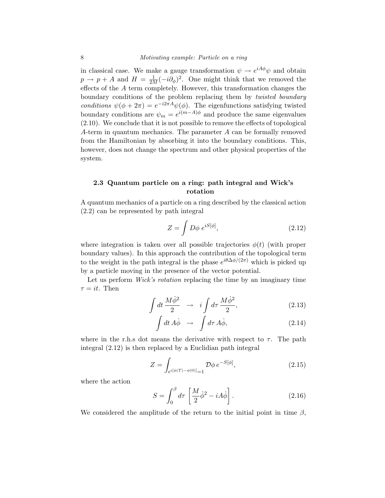in classical case. We make a gauge transformation  $\psi \to e^{iA\phi}\psi$  and obtain  $p \to p + A$  and  $H = \frac{1}{2M}(-i\partial_{\phi})^2$ . One might think that we removed the effects of the A term completely. However, this transformation changes the boundary conditions of the problem replacing them by *twisted boundary conditions*  $\psi(\phi + 2\pi) = e^{-i2\pi A}\psi(\phi)$ . The eigenfunctions satisfying twisted boundary conditions are  $\psi_m = e^{i(m-A)\phi}$  and produce the same eigenvalues (2.10). We conclude that it is not possible to remove the effects of topological A-term in quantum mechanics. The parameter A can be formally removed from the Hamiltonian by absorbing it into the boundary conditions. This, however, does not change the spectrum and other physical properties of the system.

# 2.3 Quantum particle on a ring: path integral and Wick's rotation

A quantum mechanics of a particle on a ring described by the classical action (2.2) can be represented by path integral

$$
Z = \int D\phi \; e^{iS[\phi]},\tag{2.12}
$$

where integration is taken over all possible trajectories  $\phi(t)$  (with proper boundary values). In this approach the contribution of the topological term to the weight in the path integral is the phase  $e^{i\theta \Delta \phi/(2\pi)}$  which is picked up by a particle moving in the presence of the vector potential.

Let us perform *Wick's rotation* replacing the time by an imaginary time  $\tau = it$ . Then

$$
\int dt \frac{M\dot{\phi}^2}{2} \rightarrow i \int d\tau \frac{M\dot{\phi}^2}{2}, \qquad (2.13)
$$

$$
\int dt \, A\dot{\phi} \quad \rightarrow \quad \int d\tau \, A\dot{\phi}, \tag{2.14}
$$

where in the r.h.s dot means the derivative with respect to  $\tau$ . The path integral (2.12) is then replaced by a Euclidian path integral

$$
Z = \int_{e^{i[\phi(T) - \phi(0)]} = 1} \mathcal{D}\phi \, e^{-S[\phi]},\tag{2.15}
$$

where the action

$$
S = \int_0^\beta d\tau \left[ \frac{M}{2} \dot{\phi}^2 - iA \dot{\phi} \right]. \tag{2.16}
$$

We considered the amplitude of the return to the initial point in time  $\beta$ ,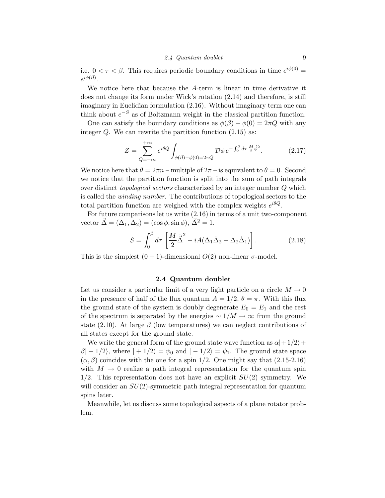i.e.  $0 < \tau < \beta$ . This requires periodic boundary conditions in time  $e^{i\phi(0)} =$  $e^{i\phi(\beta)}.$ 

We notice here that because the A-term is linear in time derivative it does not change its form under Wick's rotation (2.14) and therefore, is still imaginary in Euclidian formulation (2.16). Without imaginary term one can think about  $e^{-S}$  as of Boltzmann weight in the classical partition function.

One can satisfy the boundary conditions as  $\phi(\beta) - \phi(0) = 2\pi Q$  with any integer  $Q$ . We can rewrite the partition function  $(2.15)$  as:

$$
Z = \sum_{Q=-\infty}^{+\infty} e^{i\theta Q} \int_{\phi(\beta) - \phi(0) = 2\pi Q} \mathcal{D}\phi \, e^{-\int_0^{\beta} d\tau \, \frac{M}{2} \dot{\phi}^2}.
$$
 (2.17)

We notice here that  $\theta = 2\pi n$  – multiple of  $2\pi$  – is equivalent to  $\theta = 0$ . Second we notice that the partition function is split into the sum of path integrals over distinct *topological sectors* characterized by an integer number Q which is called the *winding number*. The contributions of topological sectors to the total partition function are weighed with the complex weights  $e^{i\theta Q}$ .

For future comparisons let us write (2.16) in terms of a unit two-component vector  $\vec{\Delta} = (\Delta_1, \Delta_2) = (\cos \phi, \sin \phi), \vec{\Delta}^2 = 1.$ 

$$
S = \int_0^\beta d\tau \left[ \frac{M}{2} \dot{\vec{\Delta}}^2 - iA(\Delta_1 \dot{\Delta}_2 - \Delta_2 \dot{\Delta}_1) \right]. \tag{2.18}
$$

This is the simplest  $(0+1)$ -dimensional  $O(2)$  non-linear  $\sigma$ -model.

# 2.4 Quantum doublet

Let us consider a particular limit of a very light particle on a circle  $M \to 0$ in the presence of half of the flux quantum  $A = 1/2$ ,  $\theta = \pi$ . With this flux the ground state of the system is doubly degenerate  $E_0 = E_1$  and the rest of the spectrum is separated by the energies  $\sim 1/M \to \infty$  from the ground state (2.10). At large  $\beta$  (low temperatures) we can neglect contributions of all states except for the ground state.

We write the general form of the ground state wave function as  $\alpha$  + 1/2 +  $\beta$ | − 1/2\, where | + 1/2\} =  $\psi_0$  and | − 1/2\} =  $\psi_1$ . The ground state space  $(\alpha, \beta)$  coincides with the one for a spin 1/2. One might say that  $(2.15-2.16)$ with  $M \to 0$  realize a path integral representation for the quantum spin  $1/2$ . This representation does not have an explicit  $SU(2)$  symmetry. We will consider an  $SU(2)$ -symmetric path integral representation for quantum spins later.

Meanwhile, let us discuss some topological aspects of a plane rotator problem.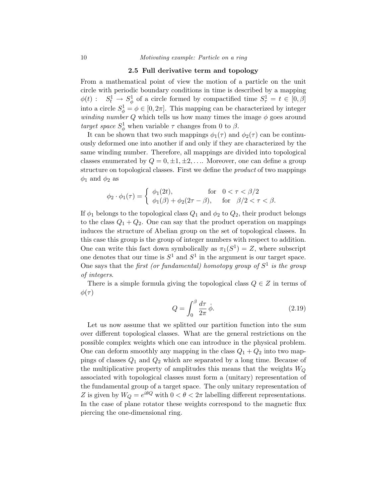#### 2.5 Full derivative term and topology

From a mathematical point of view the motion of a particle on the unit circle with periodic boundary conditions in time is described by a mapping  $\phi(t)$ :  $S_t^1 \to S_\phi^1$  of a circle formed by compactified time  $S_\tau^1 = t \in [0, \beta]$ into a circle  $S^1_{\phi} = \phi \in [0, 2\pi]$ . This mapping can be characterized by integer *winding number*  $Q$  which tells us how many times the image  $\phi$  goes around *target space*  $S^1_\phi$  when variable  $\tau$  changes from 0 to  $\beta$ .

It can be shown that two such mappings  $\phi_1(\tau)$  and  $\phi_2(\tau)$  can be continuously deformed one into another if and only if they are characterized by the same winding number. Therefore, all mappings are divided into topological classes enumerated by  $Q = 0, \pm 1, \pm 2, \ldots$  Moreover, one can define a group structure on topological classes. First we define the *product* of two mappings  $\phi_1$  and  $\phi_2$  as

$$
\phi_2 \cdot \phi_1(\tau) = \begin{cases} \phi_1(2t), & \text{for} \quad 0 < \tau < \beta/2 \\ \phi_1(\beta) + \phi_2(2\tau - \beta), & \text{for} \quad \beta/2 < \tau < \beta. \end{cases}
$$

If  $\phi_1$  belongs to the topological class  $Q_1$  and  $\phi_2$  to  $Q_2$ , their product belongs to the class  $Q_1 + Q_2$ . One can say that the product operation on mappings induces the structure of Abelian group on the set of topological classes. In this case this group is the group of integer numbers with respect to addition. One can write this fact down symbolically as  $\pi_1(S^1) = Z$ , where subscript one denotes that our time is  $S^1$  and  $S^1$  in the argument is our target space. One says that the *first (or fundamental) homotopy group of*  $S<sup>1</sup>$  *is the group of integers*.

There is a simple formula giving the topological class  $Q \in \mathbb{Z}$  in terms of  $\phi(\tau)$ 

$$
Q = \int_0^\beta \frac{d\tau}{2\pi} \dot{\phi}.\tag{2.19}
$$

Let us now assume that we splitted our partition function into the sum over different topological classes. What are the general restrictions on the possible complex weights which one can introduce in the physical problem. One can deform smoothly any mapping in the class  $Q_1 + Q_2$  into two mappings of classes  $Q_1$  and  $Q_2$  which are separated by a long time. Because of the multiplicative property of amplitudes this means that the weights  $W_Q$ associated with topological classes must form a (unitary) representation of the fundamental group of a target space. The only unitary representation of  $Z$  is given by  $W_Q = e^{i \theta Q}$  with  $0 < \theta < 2 \pi$  labelling different representations. In the case of plane rotator these weights correspond to the magnetic flux piercing the one-dimensional ring.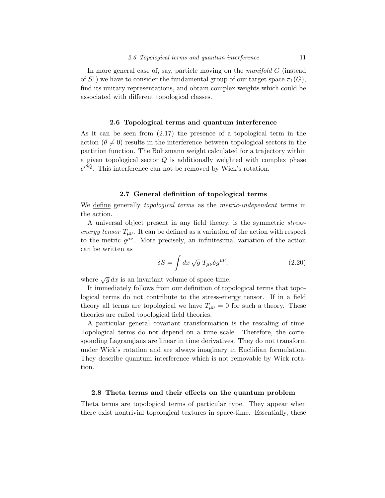In more general case of, say, particle moving on the *manifold* G (instead of  $S^1$ ) we have to consider the fundamental group of our target space  $\pi_1(G)$ , find its unitary representations, and obtain complex weights which could be associated with different topological classes.

#### 2.6 Topological terms and quantum interference

As it can be seen from (2.17) the presence of a topological term in the action  $(\theta \neq 0)$  results in the interference between topological sectors in the partition function. The Boltzmann weight calculated for a trajectory within a given topological sector Q is additionally weighted with complex phase  $e^{i\theta Q}$ . This interference can not be removed by Wick's rotation.

# 2.7 General definition of topological terms

We define generally *topological terms* as the *metric-independent* terms in the action.

A universal object present in any field theory, is the symmetric *stressenergy tensor*  $T_{\mu\nu}$ . It can be defined as a variation of the action with respect to the metric  $g^{\mu\nu}$ . More precisely, an infinitesimal variation of the action can be written as

$$
\delta S = \int dx \sqrt{g} T_{\mu\nu} \delta g^{\mu\nu}, \qquad (2.20)
$$

where  $\sqrt{g} dx$  is an invariant volume of space-time.

It immediately follows from our definition of topological terms that topological terms do not contribute to the stress-energy tensor. If in a field theory all terms are topological we have  $T_{\mu\nu} = 0$  for such a theory. These theories are called topological field theories.

A particular general covariant transformation is the rescaling of time. Topological terms do not depend on a time scale. Therefore, the corresponding Lagrangians are linear in time derivatives. They do not transform under Wick's rotation and are always imaginary in Euclidian formulation. They describe quantum interference which is not removable by Wick rotation.

## 2.8 Theta terms and their effects on the quantum problem

Theta terms are topological terms of particular type. They appear when there exist nontrivial topological textures in space-time. Essentially, these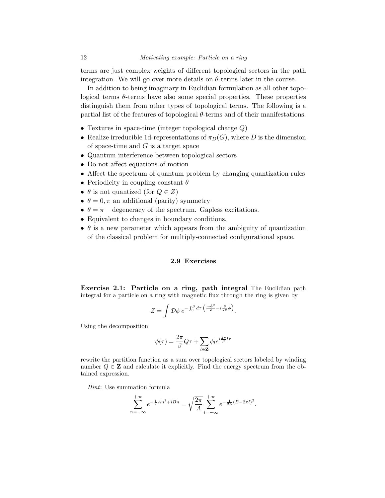terms are just complex weights of different topological sectors in the path integration. We will go over more details on  $\theta$ -terms later in the course.

In addition to being imaginary in Euclidian formulation as all other topological terms  $\theta$ -terms have also some special properties. These properties distinguish them from other types of topological terms. The following is a partial list of the features of topological  $\theta$ -terms and of their manifestations.

- Textures in space-time (integer topological charge  $Q$ )
- Realize irreducible 1d-representations of  $\pi_D(G)$ , where D is the dimension of space-time and  $G$  is a target space
- Quantum interference between topological sectors
- Do not affect equations of motion
- Affect the spectrum of quantum problem by changing quantization rules
- Periodicity in coupling constant  $\theta$
- $\theta$  is not quantized (for  $Q \in Z$ )
- $\theta = 0, \pi$  an additional (parity) symmetry
- $\theta = \pi$  degeneracy of the spectrum. Gapless excitations.
- Equivalent to changes in boundary conditions.
- $\bullet$   $\theta$  is a new parameter which appears from the ambiguity of quantization of the classical problem for multiply-connected configurational space.

## 2.9 Exercises

Exercise 2.1: Particle on a ring, path integral The Euclidian path integral for a particle on a ring with magnetic flux through the ring is given by

$$
Z = \int \mathcal{D}\phi \; e^{-\int_0^\beta d\tau \left(\frac{m\dot{\phi}^2}{2} - i\frac{\theta}{2\pi}\dot{\phi}\right)}.
$$

Using the decomposition

$$
\phi(\tau) = \frac{2\pi}{\beta} Q\tau + \sum_{l \in \mathbf{Z}} \phi_l e^{i\frac{2\pi}{\beta}l\tau}
$$

rewrite the partition function as a sum over topological sectors labeled by winding number  $Q \in \mathbf{Z}$  and calculate it explicitly. Find the energy spectrum from the obtained expression.

*Hint*: Use summation formula

$$
\sum_{n=-\infty}^{+\infty} e^{-\frac{1}{2}An^2 + iBn} = \sqrt{\frac{2\pi}{A}} \sum_{l=-\infty}^{+\infty} e^{-\frac{1}{2A}(B - 2\pi l)^2}.
$$